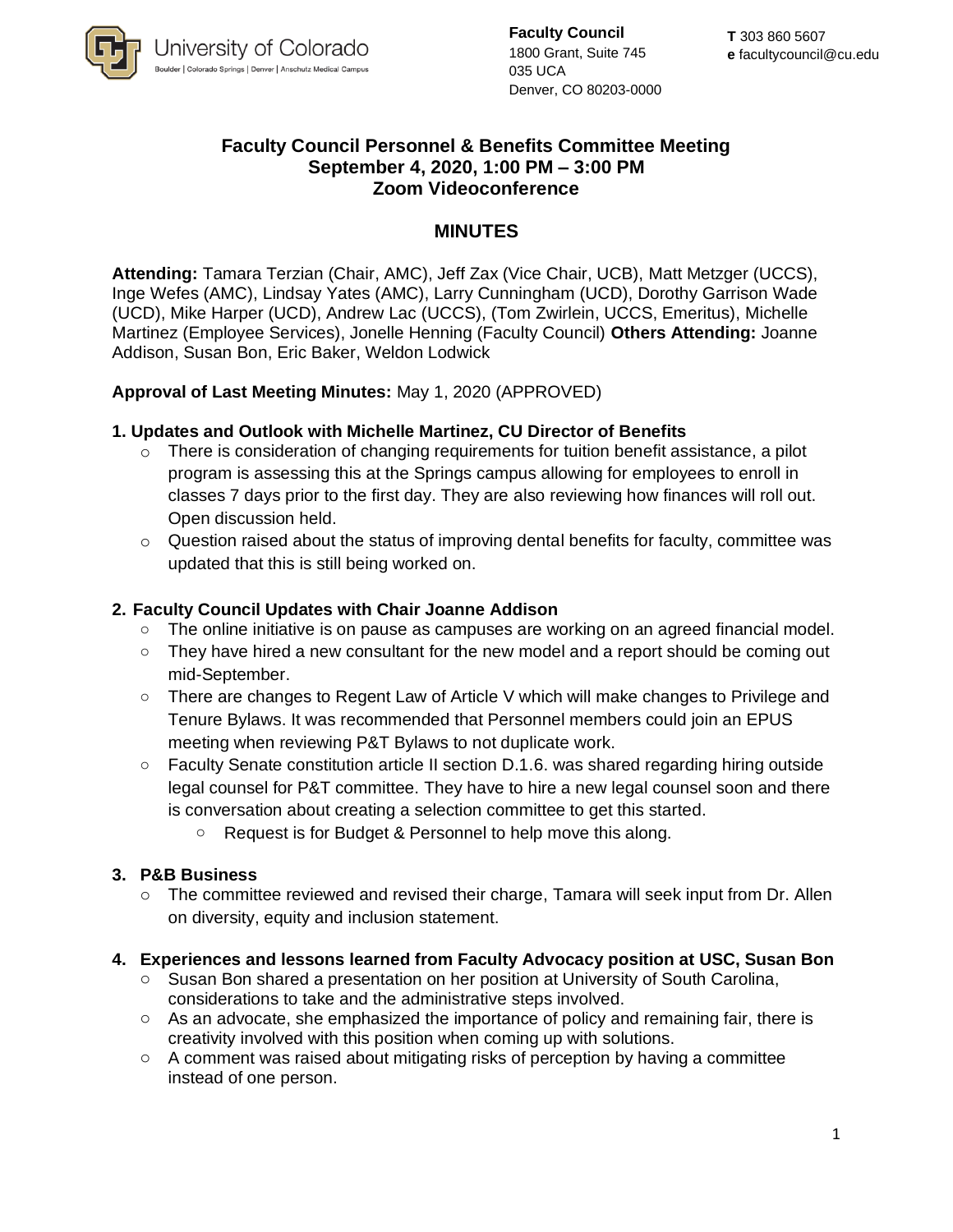

**Faculty Council** 1800 Grant, Suite 745 035 UCA Denver, CO 80203-0000

# **Faculty Council Personnel & Benefits Committee Meeting September 4, 2020, 1:00 PM – 3:00 PM Zoom Videoconference**

## **MINUTES**

**Attending:** Tamara Terzian (Chair, AMC), Jeff Zax (Vice Chair, UCB), Matt Metzger (UCCS), Inge Wefes (AMC), Lindsay Yates (AMC), Larry Cunningham (UCD), Dorothy Garrison Wade (UCD), Mike Harper (UCD), Andrew Lac (UCCS), (Tom Zwirlein, UCCS, Emeritus), Michelle Martinez (Employee Services), Jonelle Henning (Faculty Council) **Others Attending:** Joanne Addison, Susan Bon, Eric Baker, Weldon Lodwick

## **Approval of Last Meeting Minutes:** May 1, 2020 (APPROVED)

### **1. Updates and Outlook with Michelle Martinez, CU Director of Benefits**

- o There is consideration of changing requirements for tuition benefit assistance, a pilot program is assessing this at the Springs campus allowing for employees to enroll in classes 7 days prior to the first day. They are also reviewing how finances will roll out. Open discussion held.
- $\circ$  Question raised about the status of improving dental benefits for faculty, committee was updated that this is still being worked on.

### **2. Faculty Council Updates with Chair Joanne Addison**

- o The online initiative is on pause as campuses are working on an agreed financial model.
- $\circ$  They have hired a new consultant for the new model and a report should be coming out mid-September.
- o There are changes to Regent Law of Article V which will make changes to Privilege and Tenure Bylaws. It was recommended that Personnel members could join an EPUS meeting when reviewing P&T Bylaws to not duplicate work.
- $\circ$  Faculty Senate constitution article II section D.1.6. was shared regarding hiring outside legal counsel for P&T committee. They have to hire a new legal counsel soon and there is conversation about creating a selection committee to get this started.
	- o Request is for Budget & Personnel to help move this along.

#### **3. P&B Business**

o The committee reviewed and revised their charge, Tamara will seek input from Dr. Allen on diversity, equity and inclusion statement.

#### **4. Experiences and lessons learned from Faculty Advocacy position at USC, Susan Bon**

- o Susan Bon shared a presentation on her position at University of South Carolina, considerations to take and the administrative steps involved.
- o As an advocate, she emphasized the importance of policy and remaining fair, there is creativity involved with this position when coming up with solutions.
- $\circ$  A comment was raised about mitigating risks of perception by having a committee instead of one person.